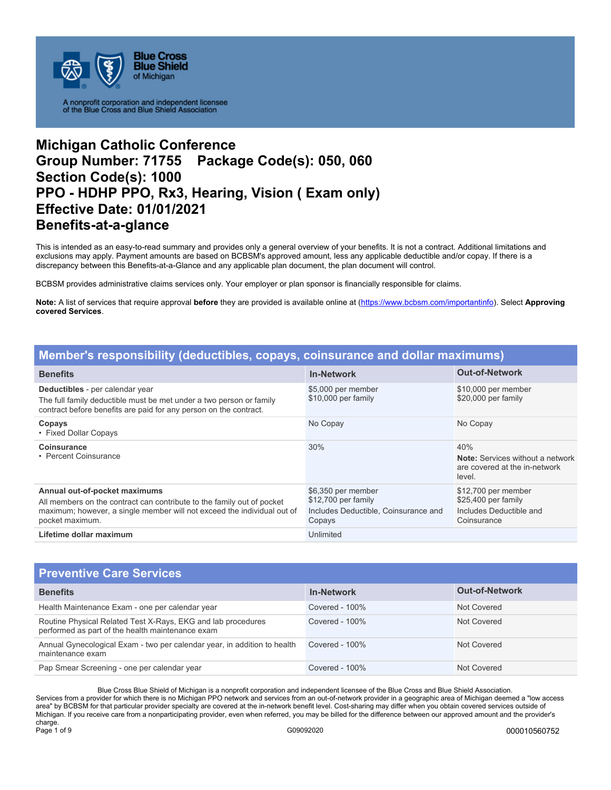

# **Michigan Catholic Conference Group Number: 71755 Package Code(s): 050, 060 Section Code(s): 1000 PPO - HDHP PPO, Rx3, Hearing, Vision ( Exam only) Effective Date: 01/01/2021 Benefits-at-a-glance**

This is intended as an easy-to-read summary and provides only a general overview of your benefits. It is not a contract. Additional limitations and exclusions may apply. Payment amounts are based on BCBSM's approved amount, less any applicable deductible and/or copay. If there is a discrepancy between this Benefits-at-a-Glance and any applicable plan document, the plan document will control.

BCBSM provides administrative claims services only. Your employer or plan sponsor is financially responsible for claims.

**Note:** A list of services that require approval **before** they are provided is available online at (https://www.bcbsm.com/importantinfo). Select **Approving covered Services**.

| Member's responsibility (deductibles, copays, coinsurance and dollar maximums)                                                                                                                        |                                                                                             |                                                                                           |  |
|-------------------------------------------------------------------------------------------------------------------------------------------------------------------------------------------------------|---------------------------------------------------------------------------------------------|-------------------------------------------------------------------------------------------|--|
| <b>Benefits</b>                                                                                                                                                                                       | <b>In-Network</b>                                                                           | <b>Out-of-Network</b>                                                                     |  |
| Deductibles - per calendar year<br>The full family deductible must be met under a two person or family<br>contract before benefits are paid for any person on the contract.                           | \$5,000 per member<br>\$10,000 per family                                                   | \$10,000 per member<br>\$20,000 per family                                                |  |
| Copays<br>• Fixed Dollar Copays                                                                                                                                                                       | No Copay                                                                                    | No Copay                                                                                  |  |
| <b>Coinsurance</b><br>• Percent Coinsurance                                                                                                                                                           | 30%                                                                                         | 40%<br><b>Note:</b> Services without a network<br>are covered at the in-network<br>level. |  |
| Annual out-of-pocket maximums<br>All members on the contract can contribute to the family out of pocket<br>maximum; however, a single member will not exceed the individual out of<br>pocket maximum. | \$6,350 per member<br>\$12,700 per family<br>Includes Deductible, Coinsurance and<br>Copays | \$12,700 per member<br>\$25,400 per family<br>Includes Deductible and<br>Coinsurance      |  |
| Lifetime dollar maximum                                                                                                                                                                               | Unlimited                                                                                   |                                                                                           |  |

| <b>Preventive Care Services</b>                                                                                  |                   |                       |
|------------------------------------------------------------------------------------------------------------------|-------------------|-----------------------|
| <b>Benefits</b>                                                                                                  | <b>In-Network</b> | <b>Out-of-Network</b> |
| Health Maintenance Exam - one per calendar year                                                                  | Covered - $100\%$ | Not Covered           |
| Routine Physical Related Test X-Rays, EKG and lab procedures<br>performed as part of the health maintenance exam | Covered - $100\%$ | Not Covered           |
| Annual Gynecological Exam - two per calendar year, in addition to health<br>maintenance exam                     | Covered - $100\%$ | Not Covered           |
| Pap Smear Screening - one per calendar year                                                                      | Covered - $100\%$ | Not Covered           |

Blue Cross Blue Shield of Michigan is a nonprofit corporation and independent licensee of the Blue Cross and Blue Shield Association. Services from a provider for which there is no Michigan PPO network and services from an out-of-network provider in a geographic area of Michigan deemed a "low access area" by BCBSM for that particular provider specialty are covered at the in-network benefit level. Cost-sharing may differ when you obtain covered services outside of Michigan. If you receive care from a nonparticipating provider, even when referred, you may be billed for the difference between our approved amount and the provider's charge.<br>Page 1 of 9 Page 1 of 9 G09092020 000010560752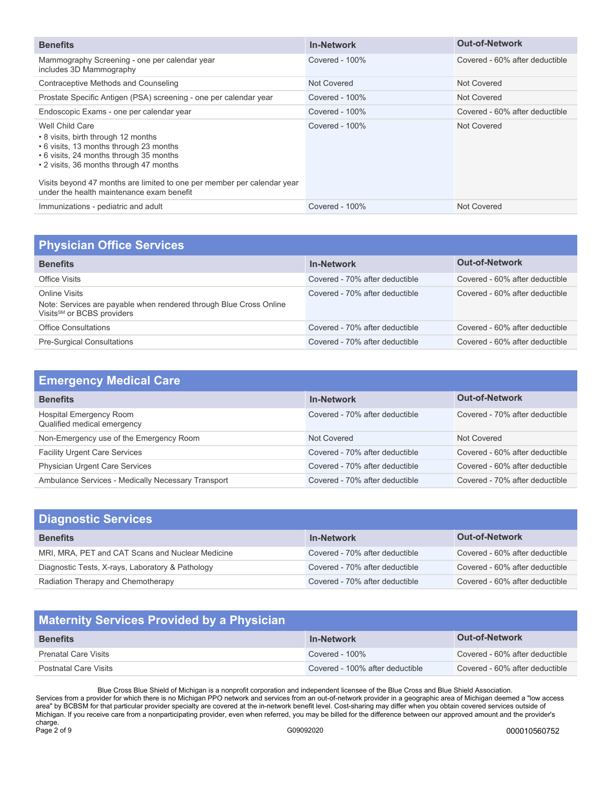| <b>Benefits</b>                                                                                                                                                                                                                                                                                                 | <b>In-Network</b> | <b>Out-of-Network</b>          |
|-----------------------------------------------------------------------------------------------------------------------------------------------------------------------------------------------------------------------------------------------------------------------------------------------------------------|-------------------|--------------------------------|
| Mammography Screening - one per calendar year<br>includes 3D Mammography                                                                                                                                                                                                                                        | Covered - 100%    | Covered - 60% after deductible |
| Contraceptive Methods and Counseling                                                                                                                                                                                                                                                                            | Not Covered       | Not Covered                    |
| Prostate Specific Antigen (PSA) screening - one per calendar year                                                                                                                                                                                                                                               | Covered - $100\%$ | Not Covered                    |
| Endoscopic Exams - one per calendar year                                                                                                                                                                                                                                                                        | Covered - $100\%$ | Covered - 60% after deductible |
| Well Child Care<br>• 8 visits, birth through 12 months<br>• 6 visits, 13 months through 23 months<br>• 6 visits, 24 months through 35 months<br>• 2 visits, 36 months through 47 months<br>Visits beyond 47 months are limited to one per member per calendar year<br>under the health maintenance exam benefit | Covered - $100\%$ | Not Covered                    |
| Immunizations - pediatric and adult                                                                                                                                                                                                                                                                             | Covered - $100\%$ | Not Covered                    |
|                                                                                                                                                                                                                                                                                                                 |                   |                                |

| <b>Physician Office Services</b>                                                                                              |                                |                                |
|-------------------------------------------------------------------------------------------------------------------------------|--------------------------------|--------------------------------|
| <b>Benefits</b>                                                                                                               | <b>In-Network</b>              | <b>Out-of-Network</b>          |
| Office Visits                                                                                                                 | Covered - 70% after deductible | Covered - 60% after deductible |
| Online Visits<br>Note: Services are payable when rendered through Blue Cross Online<br>Visits <sup>SM</sup> or BCBS providers | Covered - 70% after deductible | Covered - 60% after deductible |
| <b>Office Consultations</b>                                                                                                   | Covered - 70% after deductible | Covered - 60% after deductible |
| <b>Pre-Surgical Consultations</b>                                                                                             | Covered - 70% after deductible | Covered - 60% after deductible |

| <b>Emergency Medical Care</b>                                 |                                |                                |
|---------------------------------------------------------------|--------------------------------|--------------------------------|
| <b>Benefits</b>                                               | <b>In-Network</b>              | <b>Out-of-Network</b>          |
| <b>Hospital Emergency Room</b><br>Qualified medical emergency | Covered - 70% after deductible | Covered - 70% after deductible |
| Non-Emergency use of the Emergency Room                       | Not Covered                    | Not Covered                    |
| <b>Facility Urgent Care Services</b>                          | Covered - 70% after deductible | Covered - 60% after deductible |
| <b>Physician Urgent Care Services</b>                         | Covered - 70% after deductible | Covered - 60% after deductible |
| Ambulance Services - Medically Necessary Transport            | Covered - 70% after deductible | Covered - 70% after deductible |

| <b>Diagnostic Services</b>                       |                                |                                |
|--------------------------------------------------|--------------------------------|--------------------------------|
| <b>Benefits</b>                                  | <b>In-Network</b>              | <b>Out-of-Network</b>          |
| MRI, MRA, PET and CAT Scans and Nuclear Medicine | Covered - 70% after deductible | Covered - 60% after deductible |
| Diagnostic Tests, X-rays, Laboratory & Pathology | Covered - 70% after deductible | Covered - 60% after deductible |
| Radiation Therapy and Chemotherapy               | Covered - 70% after deductible | Covered - 60% after deductible |

## **Maternity Services Provided by a Physician**

| <b>Benefits</b>             | <b>In-Network</b>               | <b>Out-of-Network</b>          |
|-----------------------------|---------------------------------|--------------------------------|
| <b>Prenatal Care Visits</b> | Covered - $100\%$               | Covered - 60% after deductible |
| Postnatal Care Visits       | Covered - 100% after deductible | Covered - 60% after deductible |

Blue Cross Blue Shield of Michigan is a nonprofit corporation and independent licensee of the Blue Cross and Blue Shield Association. Services from a provider for which there is no Michigan PPO network and services from an out-of-network provider in a geographic area of Michigan deemed a "low access area" by BCBSM for that particular provider specialty are covered at the in-network benefit level. Cost-sharing may differ when you obtain covered services outside of Michigan. If you receive care from a nonparticipating provider, even when referred, you may be billed for the difference between our approved amount and the provider's charge.<br>Page 2 of 9 Page 2 of 9 G09092020 000010560752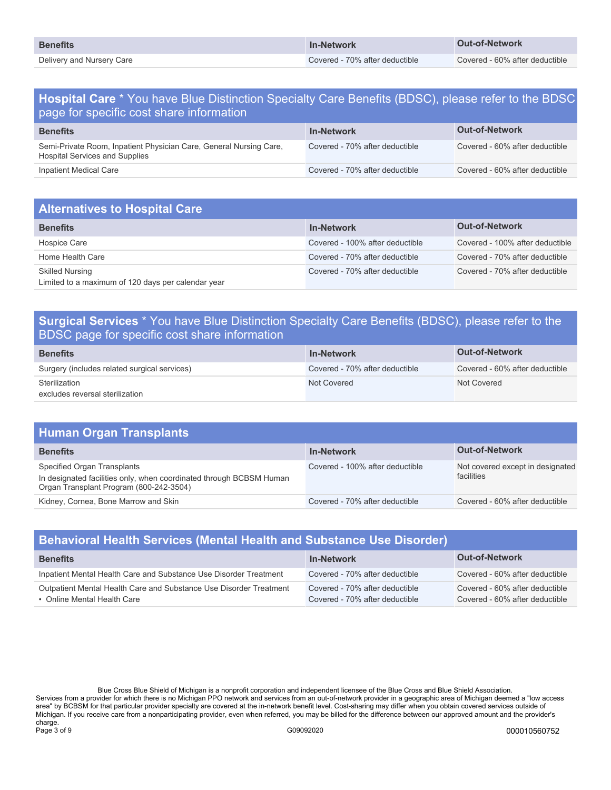| <b>Benefits</b>           | <b>In-Network</b>              | Out-of-Network                 |
|---------------------------|--------------------------------|--------------------------------|
| Delivery and Nursery Care | Covered - 70% after deductible | Covered - 60% after deductible |

## **Hospital Care** \* You have Blue Distinction Specialty Care Benefits (BDSC), please refer to the BDSC page for specific cost share information

| <b>Benefits</b>                                                                                             | <b>In-Network</b>              | <b>Out-of-Network</b>          |
|-------------------------------------------------------------------------------------------------------------|--------------------------------|--------------------------------|
| Semi-Private Room, Inpatient Physician Care, General Nursing Care,<br><b>Hospital Services and Supplies</b> | Covered - 70% after deductible | Covered - 60% after deductible |
| Inpatient Medical Care                                                                                      | Covered - 70% after deductible | Covered - 60% after deductible |

| <b>Alternatives to Hospital Care</b>                                         |                                 |                                 |
|------------------------------------------------------------------------------|---------------------------------|---------------------------------|
| <b>Benefits</b>                                                              | <b>In-Network</b>               | <b>Out-of-Network</b>           |
| Hospice Care                                                                 | Covered - 100% after deductible | Covered - 100% after deductible |
| Home Health Care                                                             | Covered - 70% after deductible  | Covered - 70% after deductible  |
| <b>Skilled Nursing</b><br>Limited to a maximum of 120 days per calendar year | Covered - 70% after deductible  | Covered - 70% after deductible  |

## **Surgical Services** \* You have Blue Distinction Specialty Care Benefits (BDSC), please refer to the BDSC page for specific cost share information

| <b>Benefits</b>                              | <b>In-Network</b>              | <b>Out-of-Network</b>          |
|----------------------------------------------|--------------------------------|--------------------------------|
| Surgery (includes related surgical services) | Covered - 70% after deductible | Covered - 60% after deductible |
| Sterilization                                | Not Covered                    | Not Covered                    |
| excludes reversal sterilization              |                                |                                |

| <b>Human Organ Transplants</b>                                                                                                                |                                 |                                                |
|-----------------------------------------------------------------------------------------------------------------------------------------------|---------------------------------|------------------------------------------------|
| <b>Benefits</b>                                                                                                                               | <b>In-Network</b>               | <b>Out-of-Network</b>                          |
| Specified Organ Transplants<br>In designated facilities only, when coordinated through BCBSM Human<br>Organ Transplant Program (800-242-3504) | Covered - 100% after deductible | Not covered except in designated<br>facilities |
| Kidney, Cornea, Bone Marrow and Skin                                                                                                          | Covered - 70% after deductible  | Covered - 60% after deductible                 |

| <b>Behavioral Health Services (Mental Health and Substance Use Disorder)</b>                      |                                                                  |                                                                  |
|---------------------------------------------------------------------------------------------------|------------------------------------------------------------------|------------------------------------------------------------------|
| <b>Benefits</b>                                                                                   | <b>In-Network</b>                                                | <b>Out-of-Network</b>                                            |
| Inpatient Mental Health Care and Substance Use Disorder Treatment                                 | Covered - 70% after deductible                                   | Covered - 60% after deductible                                   |
| Outpatient Mental Health Care and Substance Use Disorder Treatment<br>• Online Mental Health Care | Covered - 70% after deductible<br>Covered - 70% after deductible | Covered - 60% after deductible<br>Covered - 60% after deductible |

Blue Cross Blue Shield of Michigan is a nonprofit corporation and independent licensee of the Blue Cross and Blue Shield Association. Services from a provider for which there is no Michigan PPO network and services from an out-of-network provider in a geographic area of Michigan deemed a "low access area" by BCBSM for that particular provider specialty are covered at the in-network benefit level. Cost-sharing may differ when you obtain covered services outside of Michigan. If you receive care from a nonparticipating provider, even when referred, you may be billed for the difference between our approved amount and the provider's charge.<br>Page 3 of 9 Page 3 of 9 G09092020 000010560752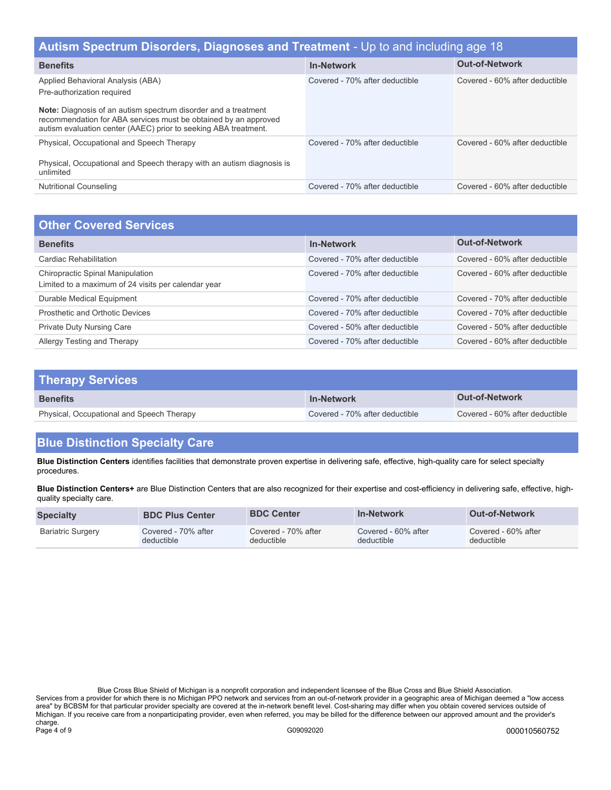| Autism Spectrum Disorders, Diagnoses and Treatment - Up to and including age 18                                                                                                                             |                                |                                |  |
|-------------------------------------------------------------------------------------------------------------------------------------------------------------------------------------------------------------|--------------------------------|--------------------------------|--|
| <b>Benefits</b>                                                                                                                                                                                             | <b>In-Network</b>              | <b>Out-of-Network</b>          |  |
| Applied Behavioral Analysis (ABA)<br>Pre-authorization required                                                                                                                                             | Covered - 70% after deductible | Covered - 60% after deductible |  |
| <b>Note:</b> Diagnosis of an autism spectrum disorder and a treatment<br>recommendation for ABA services must be obtained by an approved<br>autism evaluation center (AAEC) prior to seeking ABA treatment. |                                |                                |  |
| Physical, Occupational and Speech Therapy<br>Physical, Occupational and Speech therapy with an autism diagnosis is<br>unlimited                                                                             | Covered - 70% after deductible | Covered - 60% after deductible |  |
| <b>Nutritional Counseling</b>                                                                                                                                                                               | Covered - 70% after deductible | Covered - 60% after deductible |  |
|                                                                                                                                                                                                             |                                |                                |  |

| <b>Other Covered Services</b>                                                           |                                |                                |
|-----------------------------------------------------------------------------------------|--------------------------------|--------------------------------|
| <b>Benefits</b>                                                                         | <b>In-Network</b>              | <b>Out-of-Network</b>          |
| Cardiac Rehabilitation                                                                  | Covered - 70% after deductible | Covered - 60% after deductible |
| Chiropractic Spinal Manipulation<br>Limited to a maximum of 24 visits per calendar year | Covered - 70% after deductible | Covered - 60% after deductible |
| Durable Medical Equipment                                                               | Covered - 70% after deductible | Covered - 70% after deductible |
| Prosthetic and Orthotic Devices                                                         | Covered - 70% after deductible | Covered - 70% after deductible |
| <b>Private Duty Nursing Care</b>                                                        | Covered - 50% after deductible | Covered - 50% after deductible |
| Allergy Testing and Therapy                                                             | Covered - 70% after deductible | Covered - 60% after deductible |

| <b>Therapy Services</b>                   |                                |                                |
|-------------------------------------------|--------------------------------|--------------------------------|
| <b>Benefits</b>                           | <b>In-Network</b>              | <b>Out-of-Network</b>          |
| Physical, Occupational and Speech Therapy | Covered - 70% after deductible | Covered - 60% after deductible |

## **Blue Distinction Specialty Care**

**Blue Distinction Centers** identifies facilities that demonstrate proven expertise in delivering safe, effective, high-quality care for select specialty procedures.

**Blue Distinction Centers+** are Blue Distinction Centers that are also recognized for their expertise and cost-efficiency in delivering safe, effective, highquality specialty care.

| <b>Specialty</b>         | <b>BDC Plus Center</b> | <b>BDC Center</b>   | <b>In-Network</b>   | <b>Out-of-Network</b> |
|--------------------------|------------------------|---------------------|---------------------|-----------------------|
| <b>Bariatric Surgery</b> | Covered - 70% after    | Covered - 70% after | Covered - 60% after | Covered - 60% after   |
|                          | deductible             | deductible          | deductible          | deductible            |

Blue Cross Blue Shield of Michigan is a nonprofit corporation and independent licensee of the Blue Cross and Blue Shield Association. Services from a provider for which there is no Michigan PPO network and services from an out-of-network provider in a geographic area of Michigan deemed a "low access area" by BCBSM for that particular provider specialty are covered at the in-network benefit level. Cost-sharing may differ when you obtain covered services outside of Michigan. If you receive care from a nonparticipating provider, even when referred, you may be billed for the difference between our approved amount and the provider's charge.<br>Page 4 of 9 Page 4 of 9 G09092020 000010560752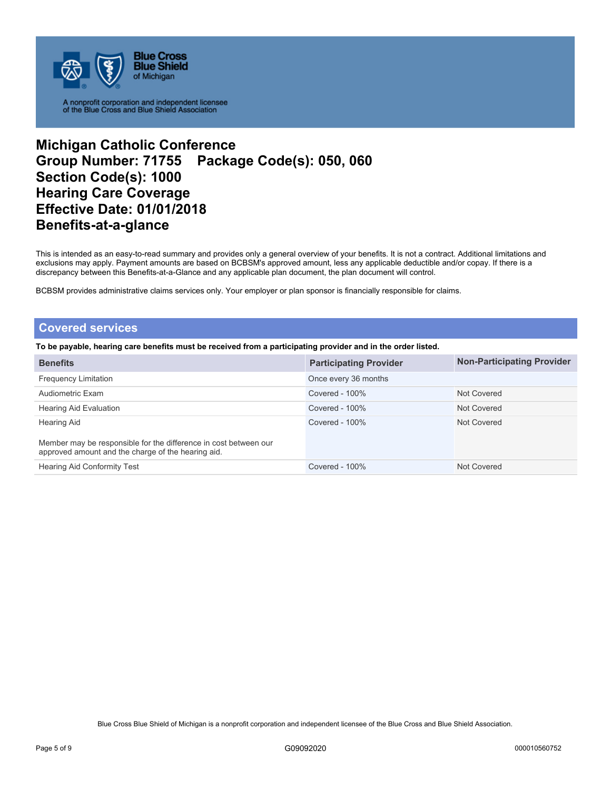

## **Michigan Catholic Conference Group Number: 71755 Package Code(s): 050, 060 Section Code(s): 1000 Hearing Care Coverage Effective Date: 01/01/2018 Benefits-at-a-glance**

This is intended as an easy-to-read summary and provides only a general overview of your benefits. It is not a contract. Additional limitations and exclusions may apply. Payment amounts are based on BCBSM's approved amount, less any applicable deductible and/or copay. If there is a discrepancy between this Benefits-at-a-Glance and any applicable plan document, the plan document will control.

BCBSM provides administrative claims services only. Your employer or plan sponsor is financially responsible for claims.

### **Covered services**

**To be payable, hearing care benefits must be received from a participating provider and in the order listed.** 

| <b>Benefits</b>                                                                                                        | <b>Participating Provider</b> | <b>Non-Participating Provider</b> |
|------------------------------------------------------------------------------------------------------------------------|-------------------------------|-----------------------------------|
| <b>Frequency Limitation</b>                                                                                            | Once every 36 months          |                                   |
| Audiometric Exam                                                                                                       | Covered - $100\%$             | Not Covered                       |
| Hearing Aid Evaluation                                                                                                 | Covered - $100\%$             | Not Covered                       |
| <b>Hearing Aid</b>                                                                                                     | Covered - $100\%$             | Not Covered                       |
| Member may be responsible for the difference in cost between our<br>approved amount and the charge of the hearing aid. |                               |                                   |
| <b>Hearing Aid Conformity Test</b>                                                                                     | Covered - 100%                | Not Covered                       |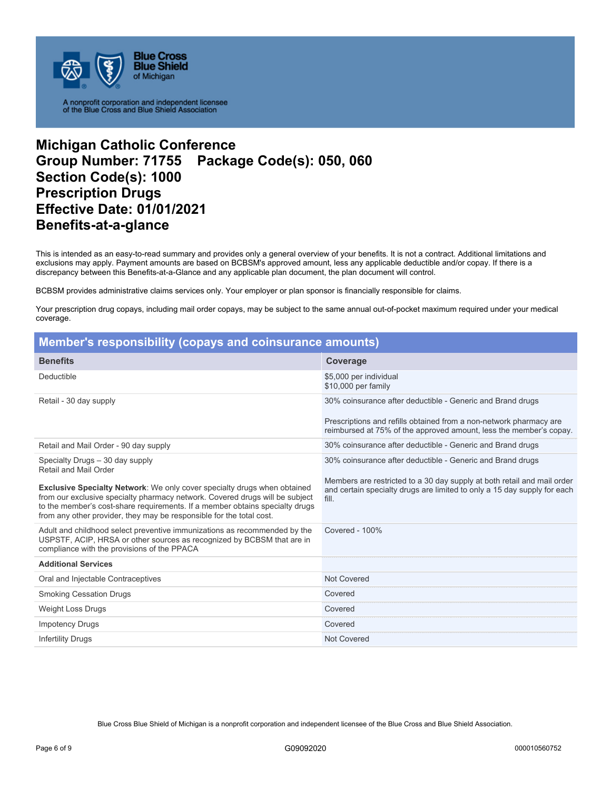

## **Michigan Catholic Conference Group Number: 71755 Package Code(s): 050, 060 Section Code(s): 1000 Prescription Drugs Effective Date: 01/01/2021 Benefits-at-a-glance**

This is intended as an easy-to-read summary and provides only a general overview of your benefits. It is not a contract. Additional limitations and exclusions may apply. Payment amounts are based on BCBSM's approved amount, less any applicable deductible and/or copay. If there is a discrepancy between this Benefits-at-a-Glance and any applicable plan document, the plan document will control.

BCBSM provides administrative claims services only. Your employer or plan sponsor is financially responsible for claims.

Your prescription drug copays, including mail order copays, may be subject to the same annual out-of-pocket maximum required under your medical coverage.

| <b>Member's responsibility (copays and coinsurance amounts)</b>                                                                                                                                                                                                                                                         |                                                                                                                                                              |  |
|-------------------------------------------------------------------------------------------------------------------------------------------------------------------------------------------------------------------------------------------------------------------------------------------------------------------------|--------------------------------------------------------------------------------------------------------------------------------------------------------------|--|
| <b>Benefits</b>                                                                                                                                                                                                                                                                                                         | Coverage                                                                                                                                                     |  |
| Deductible                                                                                                                                                                                                                                                                                                              | \$5,000 per individual<br>\$10,000 per family                                                                                                                |  |
| Retail - 30 day supply                                                                                                                                                                                                                                                                                                  | 30% coinsurance after deductible - Generic and Brand drugs                                                                                                   |  |
|                                                                                                                                                                                                                                                                                                                         | Prescriptions and refills obtained from a non-network pharmacy are<br>reimbursed at 75% of the approved amount, less the member's copay.                     |  |
| Retail and Mail Order - 90 day supply                                                                                                                                                                                                                                                                                   | 30% coinsurance after deductible - Generic and Brand drugs                                                                                                   |  |
| Specialty Drugs - 30 day supply<br>Retail and Mail Order                                                                                                                                                                                                                                                                | 30% coinsurance after deductible - Generic and Brand drugs                                                                                                   |  |
| <b>Exclusive Specialty Network:</b> We only cover specialty drugs when obtained<br>from our exclusive specialty pharmacy network. Covered drugs will be subject<br>to the member's cost-share requirements. If a member obtains specialty drugs<br>from any other provider, they may be responsible for the total cost. | Members are restricted to a 30 day supply at both retail and mail order<br>and certain specialty drugs are limited to only a 15 day supply for each<br>fill. |  |
| Adult and childhood select preventive immunizations as recommended by the<br>USPSTF, ACIP, HRSA or other sources as recognized by BCBSM that are in<br>compliance with the provisions of the PPACA                                                                                                                      | Covered - 100%                                                                                                                                               |  |
| <b>Additional Services</b>                                                                                                                                                                                                                                                                                              |                                                                                                                                                              |  |
| Oral and Injectable Contraceptives                                                                                                                                                                                                                                                                                      | Not Covered                                                                                                                                                  |  |
| <b>Smoking Cessation Drugs</b>                                                                                                                                                                                                                                                                                          | Covered                                                                                                                                                      |  |
| <b>Weight Loss Drugs</b>                                                                                                                                                                                                                                                                                                | Covered                                                                                                                                                      |  |
| <b>Impotency Drugs</b>                                                                                                                                                                                                                                                                                                  | Covered                                                                                                                                                      |  |
| <b>Infertility Drugs</b>                                                                                                                                                                                                                                                                                                | Not Covered                                                                                                                                                  |  |

Blue Cross Blue Shield of Michigan is a nonprofit corporation and independent licensee of the Blue Cross and Blue Shield Association.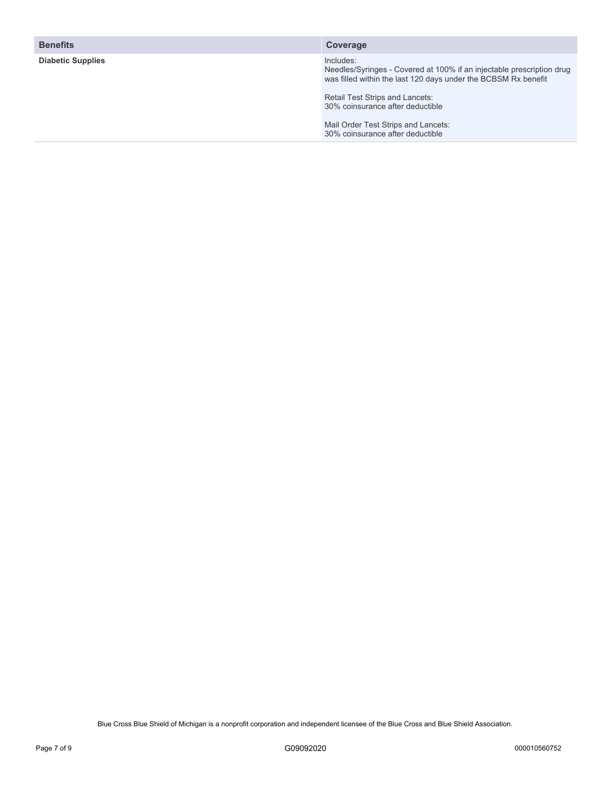| <b>Benefits</b>          | Coverage                                                                                                                                             |
|--------------------------|------------------------------------------------------------------------------------------------------------------------------------------------------|
| <b>Diabetic Supplies</b> | Includes:<br>Needles/Syringes - Covered at 100% if an injectable prescription drug<br>was filled within the last 120 days under the BCBSM Rx benefit |
|                          | Retail Test Strips and Lancets:<br>30% coinsurance after deductible                                                                                  |
|                          | Mail Order Test Strips and Lancets:<br>30% coinsurance after deductible                                                                              |
|                          |                                                                                                                                                      |

Blue Cross Blue Shield of Michigan is a nonprofit corporation and independent licensee of the Blue Cross and Blue Shield Association.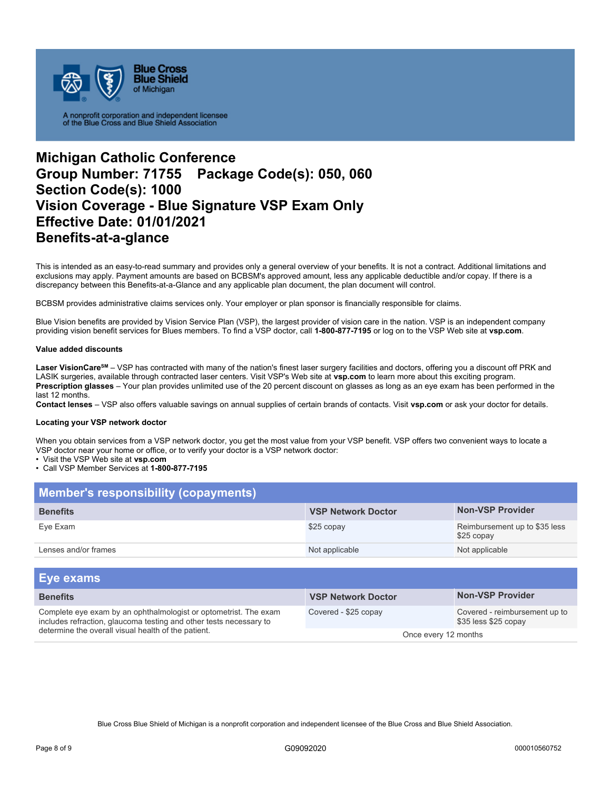

## **Michigan Catholic Conference Group Number: 71755 Package Code(s): 050, 060 Section Code(s): 1000 Vision Coverage - Blue Signature VSP Exam Only Effective Date: 01/01/2021 Benefits-at-a-glance**

This is intended as an easy-to-read summary and provides only a general overview of your benefits. It is not a contract. Additional limitations and exclusions may apply. Payment amounts are based on BCBSM's approved amount, less any applicable deductible and/or copay. If there is a discrepancy between this Benefits-at-a-Glance and any applicable plan document, the plan document will control.

BCBSM provides administrative claims services only. Your employer or plan sponsor is financially responsible for claims.

Blue Vision benefits are provided by Vision Service Plan (VSP), the largest provider of vision care in the nation. VSP is an independent company providing vision benefit services for Blues members. To find a VSP doctor, call **1-800-877-7195** or log on to the VSP Web site at **vsp.com**.

#### **Value added discounts**

Laser VisionCare<sup>sM</sup> – VSP has contracted with many of the nation's finest laser surgery facilities and doctors, offering you a discount off PRK and LASIK surgeries, available through contracted laser centers. Visit VSP's Web site at **vsp.com** to learn more about this exciting program. **Prescription glasses** – Your plan provides unlimited use of the 20 percent discount on glasses as long as an eye exam has been performed in the last 12 months.

**Contact lenses** – VSP also offers valuable savings on annual supplies of certain brands of contacts. Visit **vsp.com** or ask your doctor for details.

#### **Locating your VSP network doctor**

When you obtain services from a VSP network doctor, you get the most value from your VSP benefit. VSP offers two convenient ways to locate a VSP doctor near your home or office, or to verify your doctor is a VSP network doctor:

• Visit the VSP Web site at **vsp.com** 

• Call VSP Member Services at **1-800-877-7195** 

| <b>Member's responsibility (copayments)</b> |                           |                                             |  |
|---------------------------------------------|---------------------------|---------------------------------------------|--|
| <b>Benefits</b>                             | <b>VSP Network Doctor</b> | <b>Non-VSP Provider</b>                     |  |
| Eye Exam                                    | \$25 copay                | Reimbursement up to \$35 less<br>\$25 copay |  |
| Lenses and/or frames                        | Not applicable            | Not applicable                              |  |

| Eye exams                                                                                                                                                                                     |                           |                                                       |
|-----------------------------------------------------------------------------------------------------------------------------------------------------------------------------------------------|---------------------------|-------------------------------------------------------|
| <b>Benefits</b>                                                                                                                                                                               | <b>VSP Network Doctor</b> | <b>Non-VSP Provider</b>                               |
| Complete eye exam by an ophthalmologist or optometrist. The exam<br>includes refraction, glaucoma testing and other tests necessary to<br>determine the overall visual health of the patient. | Covered - \$25 copay      | Covered - reimbursement up to<br>\$35 less \$25 copay |
|                                                                                                                                                                                               | Once every 12 months      |                                                       |

Blue Cross Blue Shield of Michigan is a nonprofit corporation and independent licensee of the Blue Cross and Blue Shield Association.